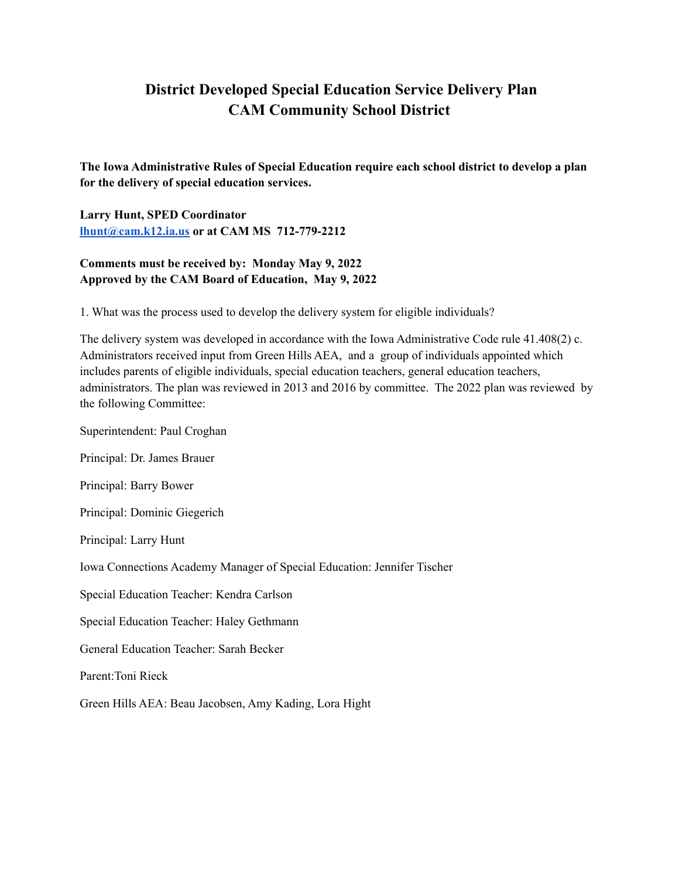# **District Developed Special Education Service Delivery Plan CAM Community School District**

**The Iowa Administrative Rules of Special Education require each school district to develop a plan for the delivery of special education services.**

**Larry Hunt, SPED Coordinator [lhunt@cam.k12.ia.us](mailto:lhunt@cam.k12.ia.us) or at CAM MS 712-779-2212**

# **Comments must be received by: Monday May 9, 2022 Approved by the CAM Board of Education, May 9, 2022**

1. What was the process used to develop the delivery system for eligible individuals?

The delivery system was developed in accordance with the Iowa Administrative Code rule 41.408(2) c. Administrators received input from Green Hills AEA, and a group of individuals appointed which includes parents of eligible individuals, special education teachers, general education teachers, administrators. The plan was reviewed in 2013 and 2016 by committee. The 2022 plan was reviewed by the following Committee:

Superintendent: Paul Croghan

Principal: Dr. James Brauer

Principal: Barry Bower

Principal: Dominic Giegerich

Principal: Larry Hunt

Iowa Connections Academy Manager of Special Education: Jennifer Tischer

Special Education Teacher: Kendra Carlson

Special Education Teacher: Haley Gethmann

General Education Teacher: Sarah Becker

Parent:Toni Rieck

Green Hills AEA: Beau Jacobsen, Amy Kading, Lora Hight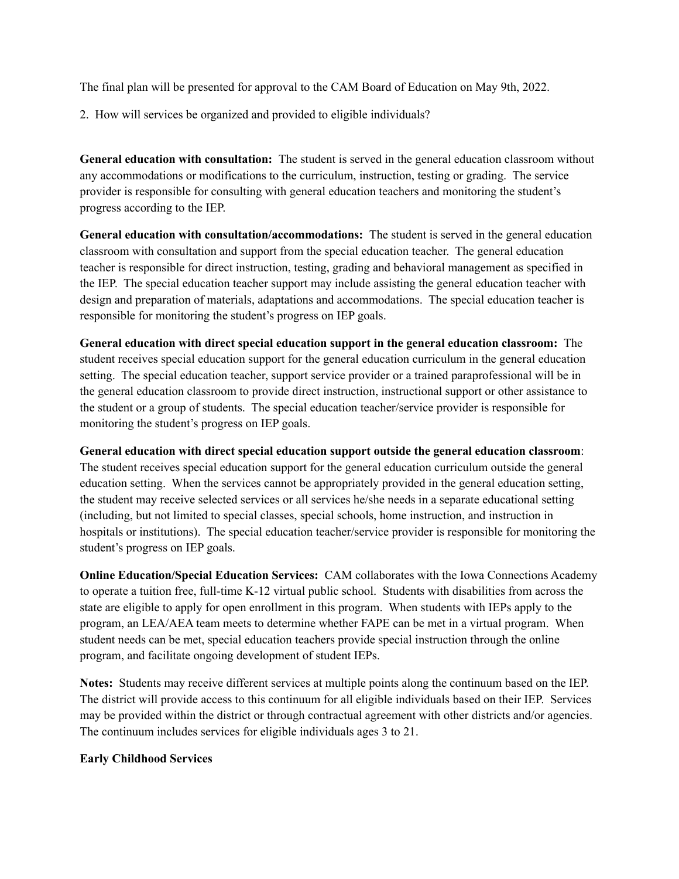The final plan will be presented for approval to the CAM Board of Education on May 9th, 2022.

2. How will services be organized and provided to eligible individuals?

**General education with consultation:** The student is served in the general education classroom without any accommodations or modifications to the curriculum, instruction, testing or grading. The service provider is responsible for consulting with general education teachers and monitoring the student's progress according to the IEP.

**General education with consultation/accommodations:** The student is served in the general education classroom with consultation and support from the special education teacher. The general education teacher is responsible for direct instruction, testing, grading and behavioral management as specified in the IEP. The special education teacher support may include assisting the general education teacher with design and preparation of materials, adaptations and accommodations. The special education teacher is responsible for monitoring the student's progress on IEP goals.

**General education with direct special education support in the general education classroom:** The student receives special education support for the general education curriculum in the general education setting. The special education teacher, support service provider or a trained paraprofessional will be in the general education classroom to provide direct instruction, instructional support or other assistance to the student or a group of students. The special education teacher/service provider is responsible for monitoring the student's progress on IEP goals.

**General education with direct special education support outside the general education classroom**: The student receives special education support for the general education curriculum outside the general education setting. When the services cannot be appropriately provided in the general education setting, the student may receive selected services or all services he/she needs in a separate educational setting (including, but not limited to special classes, special schools, home instruction, and instruction in hospitals or institutions). The special education teacher/service provider is responsible for monitoring the student's progress on IEP goals.

**Online Education/Special Education Services:** CAM collaborates with the Iowa Connections Academy to operate a tuition free, full-time K-12 virtual public school. Students with disabilities from across the state are eligible to apply for open enrollment in this program. When students with IEPs apply to the program, an LEA/AEA team meets to determine whether FAPE can be met in a virtual program. When student needs can be met, special education teachers provide special instruction through the online program, and facilitate ongoing development of student IEPs.

**Notes:** Students may receive different services at multiple points along the continuum based on the IEP. The district will provide access to this continuum for all eligible individuals based on their IEP. Services may be provided within the district or through contractual agreement with other districts and/or agencies. The continuum includes services for eligible individuals ages 3 to 21.

#### **Early Childhood Services**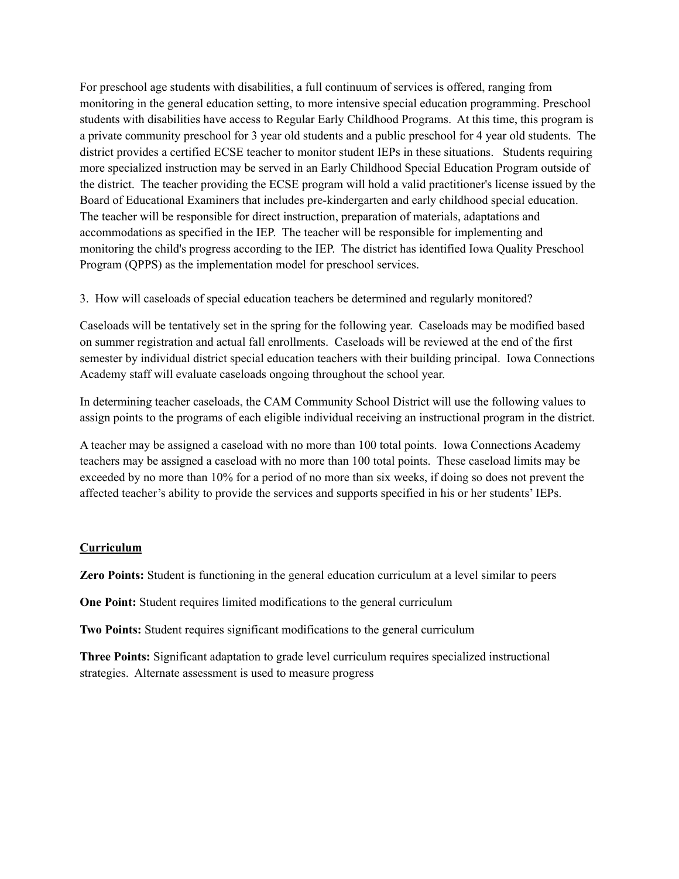For preschool age students with disabilities, a full continuum of services is offered, ranging from monitoring in the general education setting, to more intensive special education programming. Preschool students with disabilities have access to Regular Early Childhood Programs. At this time, this program is a private community preschool for 3 year old students and a public preschool for 4 year old students. The district provides a certified ECSE teacher to monitor student IEPs in these situations. Students requiring more specialized instruction may be served in an Early Childhood Special Education Program outside of the district. The teacher providing the ECSE program will hold a valid practitioner's license issued by the Board of Educational Examiners that includes pre-kindergarten and early childhood special education. The teacher will be responsible for direct instruction, preparation of materials, adaptations and accommodations as specified in the IEP. The teacher will be responsible for implementing and monitoring the child's progress according to the IEP. The district has identified Iowa Quality Preschool Program (QPPS) as the implementation model for preschool services.

3. How will caseloads of special education teachers be determined and regularly monitored?

Caseloads will be tentatively set in the spring for the following year. Caseloads may be modified based on summer registration and actual fall enrollments. Caseloads will be reviewed at the end of the first semester by individual district special education teachers with their building principal. Iowa Connections Academy staff will evaluate caseloads ongoing throughout the school year.

In determining teacher caseloads, the CAM Community School District will use the following values to assign points to the programs of each eligible individual receiving an instructional program in the district.

A teacher may be assigned a caseload with no more than 100 total points. Iowa Connections Academy teachers may be assigned a caseload with no more than 100 total points. These caseload limits may be exceeded by no more than 10% for a period of no more than six weeks, if doing so does not prevent the affected teacher's ability to provide the services and supports specified in his or her students' IEPs.

#### **Curriculum**

**Zero Points:** Student is functioning in the general education curriculum at a level similar to peers

**One Point:** Student requires limited modifications to the general curriculum

**Two Points:** Student requires significant modifications to the general curriculum

**Three Points:** Significant adaptation to grade level curriculum requires specialized instructional strategies. Alternate assessment is used to measure progress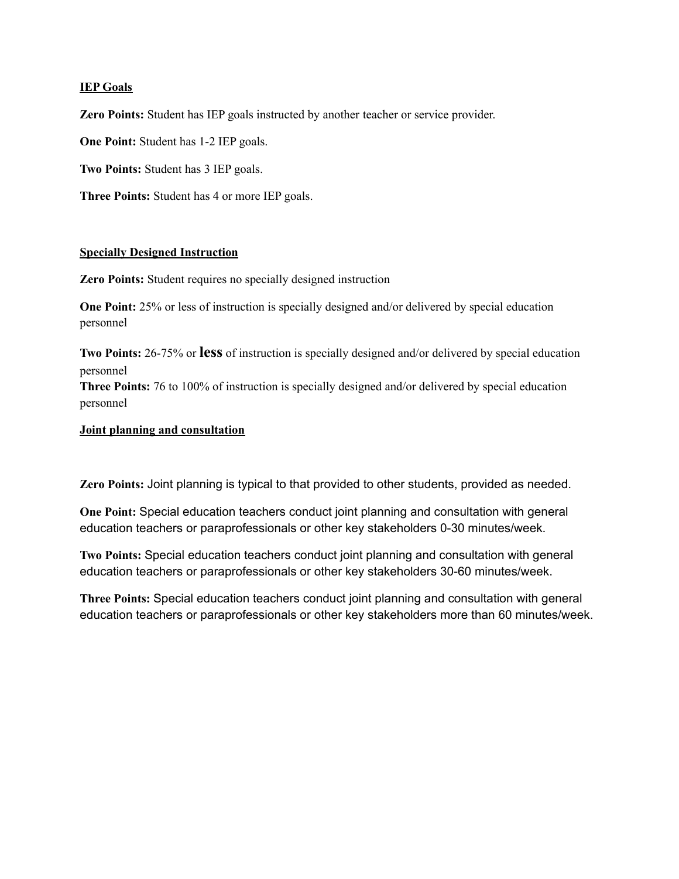#### **IEP Goals**

**Zero Points:** Student has IEP goals instructed by another teacher or service provider.

**One Point:** Student has 1-2 IEP goals.

**Two Points:** Student has 3 IEP goals.

**Three Points:** Student has 4 or more IEP goals.

#### **Specially Designed Instruction**

**Zero Points:** Student requires no specially designed instruction

**One Point:** 25% or less of instruction is specially designed and/or delivered by special education personnel

**Two Points:** 26-75% or **less** of instruction is specially designed and/or delivered by special education personnel

**Three Points:** 76 to 100% of instruction is specially designed and/or delivered by special education personnel

#### **Joint planning and consultation**

**Zero Points:** Joint planning is typical to that provided to other students, provided as needed.

**One Point:** Special education teachers conduct joint planning and consultation with general education teachers or paraprofessionals or other key stakeholders 0-30 minutes/week.

**Two Points:** Special education teachers conduct joint planning and consultation with general education teachers or paraprofessionals or other key stakeholders 30-60 minutes/week.

**Three Points:** Special education teachers conduct joint planning and consultation with general education teachers or paraprofessionals or other key stakeholders more than 60 minutes/week.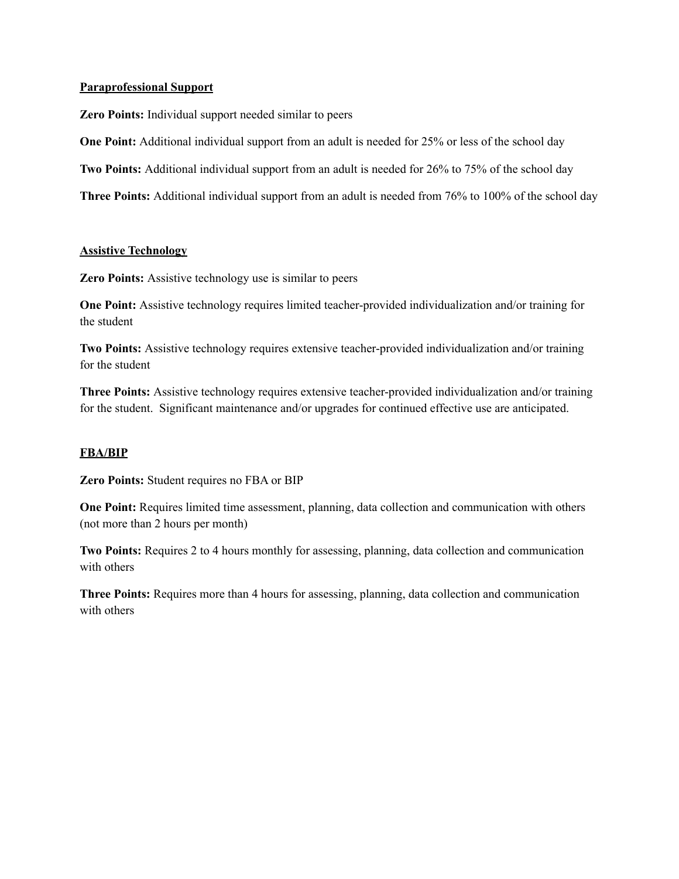#### **Paraprofessional Support**

**Zero Points:** Individual support needed similar to peers

**One Point:** Additional individual support from an adult is needed for 25% or less of the school day

**Two Points:** Additional individual support from an adult is needed for 26% to 75% of the school day

**Three Points:** Additional individual support from an adult is needed from 76% to 100% of the school day

#### **Assistive Technology**

**Zero Points:** Assistive technology use is similar to peers

**One Point:** Assistive technology requires limited teacher-provided individualization and/or training for the student

**Two Points:** Assistive technology requires extensive teacher-provided individualization and/or training for the student

**Three Points:** Assistive technology requires extensive teacher-provided individualization and/or training for the student. Significant maintenance and/or upgrades for continued effective use are anticipated.

#### **FBA/BIP**

**Zero Points:** Student requires no FBA or BIP

**One Point:** Requires limited time assessment, planning, data collection and communication with others (not more than 2 hours per month)

**Two Points:** Requires 2 to 4 hours monthly for assessing, planning, data collection and communication with others

**Three Points:** Requires more than 4 hours for assessing, planning, data collection and communication with others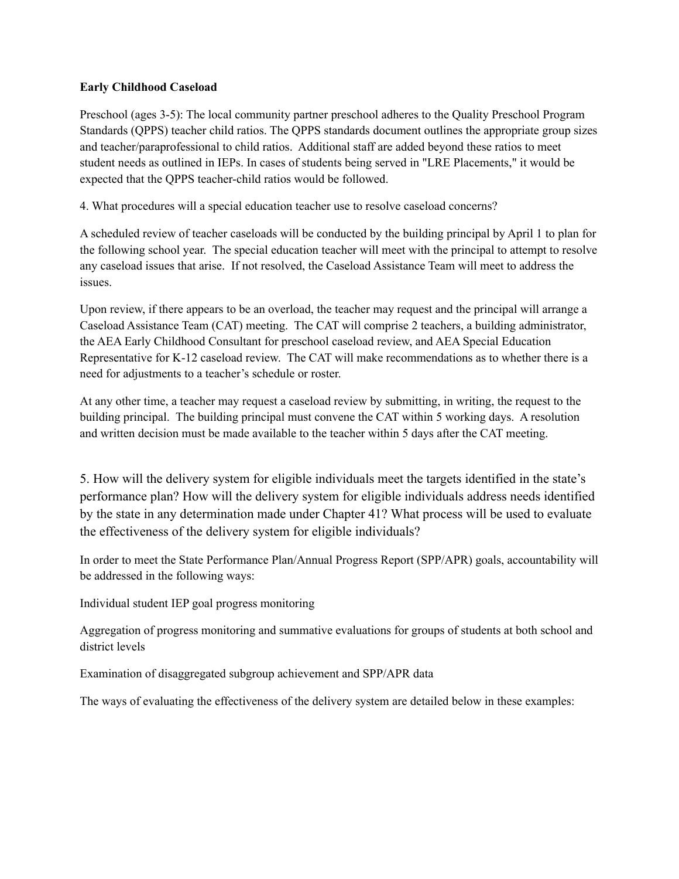#### **Early Childhood Caseload**

Preschool (ages 3-5): The local community partner preschool adheres to the Quality Preschool Program Standards (QPPS) teacher child ratios. The QPPS standards document outlines the appropriate group sizes and teacher/paraprofessional to child ratios. Additional staff are added beyond these ratios to meet student needs as outlined in IEPs. In cases of students being served in "LRE Placements," it would be expected that the QPPS teacher-child ratios would be followed.

4. What procedures will a special education teacher use to resolve caseload concerns?

A scheduled review of teacher caseloads will be conducted by the building principal by April 1 to plan for the following school year. The special education teacher will meet with the principal to attempt to resolve any caseload issues that arise. If not resolved, the Caseload Assistance Team will meet to address the issues.

Upon review, if there appears to be an overload, the teacher may request and the principal will arrange a Caseload Assistance Team (CAT) meeting. The CAT will comprise 2 teachers, a building administrator, the AEA Early Childhood Consultant for preschool caseload review, and AEA Special Education Representative for K-12 caseload review. The CAT will make recommendations as to whether there is a need for adjustments to a teacher's schedule or roster.

At any other time, a teacher may request a caseload review by submitting, in writing, the request to the building principal. The building principal must convene the CAT within 5 working days. A resolution and written decision must be made available to the teacher within 5 days after the CAT meeting.

5. How will the delivery system for eligible individuals meet the targets identified in the state's performance plan? How will the delivery system for eligible individuals address needs identified by the state in any determination made under Chapter 41? What process will be used to evaluate the effectiveness of the delivery system for eligible individuals?

In order to meet the State Performance Plan/Annual Progress Report (SPP/APR) goals, accountability will be addressed in the following ways:

Individual student IEP goal progress monitoring

Aggregation of progress monitoring and summative evaluations for groups of students at both school and district levels

Examination of disaggregated subgroup achievement and SPP/APR data

The ways of evaluating the effectiveness of the delivery system are detailed below in these examples: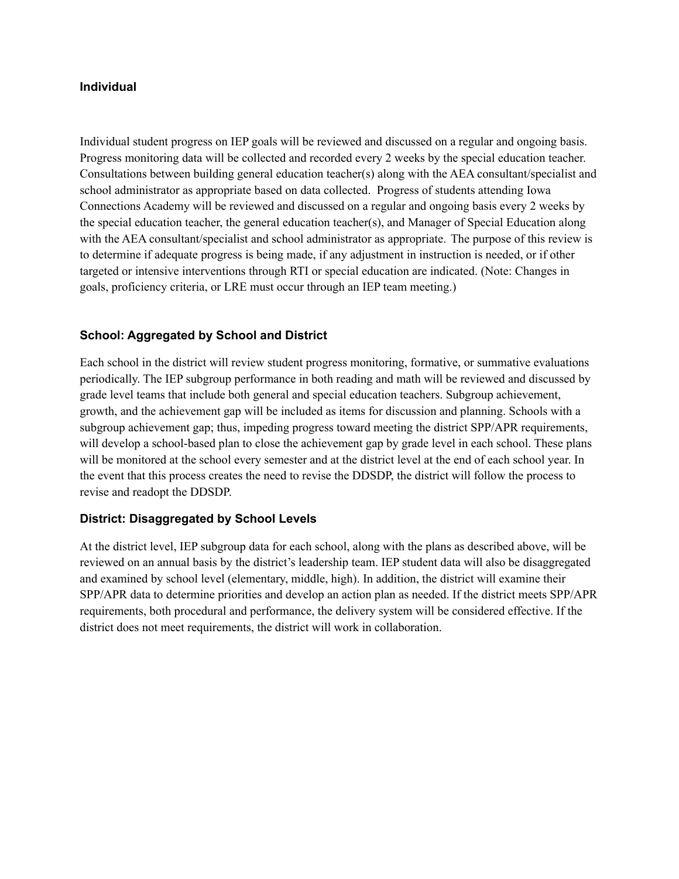#### **Individual**

Individual student progress on IEP goals will be reviewed and discussed on a regular and ongoing basis. Progress monitoring data will be collected and recorded every 2 weeks by the special education teacher. Consultations between building general education teacher(s) along with the AEA consultant/specialist and school administrator as appropriate based on data collected. Progress of students attending Iowa Connections Academy will be reviewed and discussed on a regular and ongoing basis every 2 weeks by the special education teacher, the general education teacher(s), and Manager of Special Education along with the AEA consultant/specialist and school administrator as appropriate. The purpose of this review is to determine if adequate progress is being made, if any adjustment in instruction is needed, or if other targeted or intensive interventions through RTI or special education are indicated. (Note: Changes in goals, proficiency criteria, or LRE must occur through an IEP team meeting.)

## **School: Aggregated by School and District**

Each school in the district will review student progress monitoring, formative, or summative evaluations periodically. The IEP subgroup performance in both reading and math will be reviewed and discussed by grade level teams that include both general and special education teachers. Subgroup achievement, growth, and the achievement gap will be included as items for discussion and planning. Schools with a subgroup achievement gap; thus, impeding progress toward meeting the district SPP/APR requirements, will develop a school-based plan to close the achievement gap by grade level in each school. These plans will be monitored at the school every semester and at the district level at the end of each school year. In the event that this process creates the need to revise the DDSDP, the district will follow the process to revise and readopt the DDSDP.

## **District: Disaggregated by School Levels**

At the district level, IEP subgroup data for each school, along with the plans as described above, will be reviewed on an annual basis by the district's leadership team. IEP student data will also be disaggregated and examined by school level (elementary, middle, high). In addition, the district will examine their SPP/APR data to determine priorities and develop an action plan as needed. If the district meets SPP/APR requirements, both procedural and performance, the delivery system will be considered effective. If the district does not meet requirements, the district will work in collaboration.